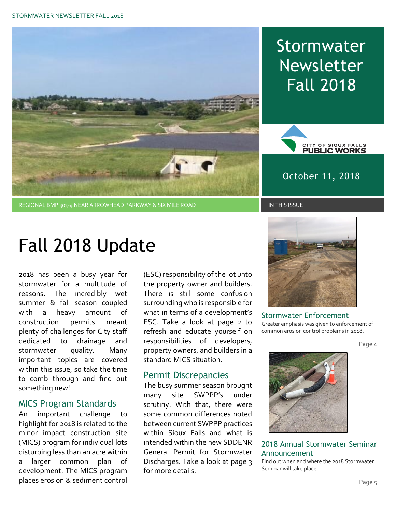

## **Stormwater** Newsletter Fall 2018



October 11, 2018

# Fall 2018 Update

2018 has been a busy year for stormwater for a multitude of reasons. The incredibly wet summer & fall season coupled with a heavy amount of construction permits meant plenty of challenges for City staff dedicated to drainage and stormwater quality. Many important topics are covered within this issue, so take the time to comb through and find out something new!

#### MICS Program Standards

An important challenge to highlight for 2018 is related to the minor impact construction site (MICS) program for individual lots disturbing less than an acre within a larger common plan of development. The MICS program places erosion & sediment control (ESC) responsibility of the lot unto the property owner and builders. There is still some confusion surrounding who is responsible for what in terms of a development's ESC. Take a look at page 2 to refresh and educate yourself on responsibilities of developers, property owners, and builders in a standard MICS situation.

#### Permit Discrepancies

The busy summer season brought many site SWPPP's under scrutiny. With that, there were some common differences noted between current SWPPP practices within Sioux Falls and what is intended within the new SDDENR General Permit for Stormwater Discharges. Take a look at page 3 for more details.



Stormwater Enforcement Greater emphasis was given to enforcement of common erosion control problems in 2018.

Page 4



2018 Annual Stormwater Seminar Announcement

Find out when and where the 2018 Stormwater Seminar will take place.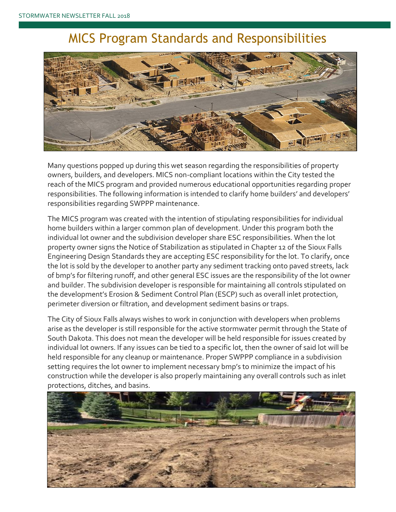### MICS Program Standards and Responsibilities



Many questions popped up during this wet season regarding the responsibilities of property owners, builders, and developers. MICS non-compliant locations within the City tested the reach of the MICS program and provided numerous educational opportunities regarding proper responsibilities. The following information is intended to clarify home builders' and developers' responsibilities regarding SWPPP maintenance.

The MICS program was created with the intention of stipulating responsibilities for individual home builders within a larger common plan of development. Under this program both the individual lot owner and the subdivision developer share ESC responsibilities. When the lot property owner signs the Notice of Stabilization as stipulated in Chapter 12 of the Sioux Falls Engineering Design Standards they are accepting ESC responsibility for the lot. To clarify, once the lot is sold by the developer to another party any sediment tracking onto paved streets, lack of bmp's for filtering runoff, and other general ESC issues are the responsibility of the lot owner and builder. The subdivision developer is responsible for maintaining all controls stipulated on the development's Erosion & Sediment Control Plan (ESCP) such as overall inlet protection, perimeter diversion or filtration, and development sediment basins or traps.

The City of Sioux Falls always wishes to work in conjunction with developers when problems arise as the developer is still responsible for the active stormwater permit through the State of South Dakota. This does not mean the developer will be held responsible for issues created by individual lot owners. If any issues can be tied to a specific lot, then the owner of said lot will be held responsible for any cleanup or maintenance. Proper SWPPP compliance in a subdivision setting requires the lot owner to implement necessary bmp's to minimize the impact of his construction while the developer is also properly maintaining any overall controls such as inlet protections, ditches, and basins.

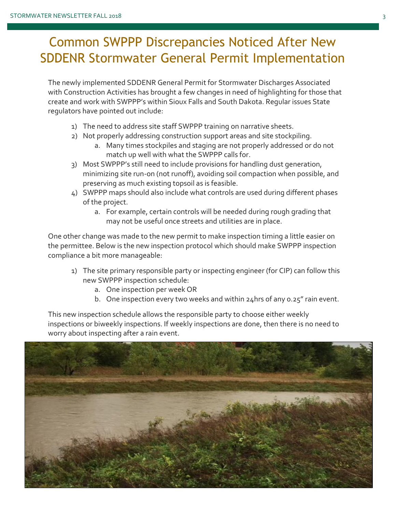### Common SWPPP Discrepancies Noticed After New SDDENR Stormwater General Permit Implementation

The newly implemented SDDENR General Permit for Stormwater Discharges Associated with Construction Activities has brought a few changes in need of highlighting for those that create and work with SWPPP's within Sioux Falls and South Dakota. Regular issues State regulators have pointed out include:

- 1) The need to address site staff SWPPP training on narrative sheets.
- 2) Not properly addressing construction support areas and site stockpiling.
	- a. Many times stockpiles and staging are not properly addressed or do not match up well with what the SWPPP calls for.
- 3) Most SWPPP's still need to include provisions for handling dust generation, minimizing site run-on (not runoff), avoiding soil compaction when possible, and preserving as much existing topsoil as is feasible.
- 4) SWPPP maps should also include what controls are used during different phases of the project.
	- a. For example, certain controls will be needed during rough grading that may not be useful once streets and utilities are in place.

One other change was made to the new permit to make inspection timing a little easier on the permittee. Below is the new inspection protocol which should make SWPPP inspection compliance a bit more manageable:

- 1) The site primary responsible party or inspecting engineer (for CIP) can follow this new SWPPP inspection schedule:
	- a. One inspection per week OR
	- b. One inspection every two weeks and within 24hrs of any 0.25" rain event.

This new inspection schedule allows the responsible party to choose either weekly inspections or biweekly inspections. If weekly inspections are done, then there is no need to worry about inspecting after a rain event.

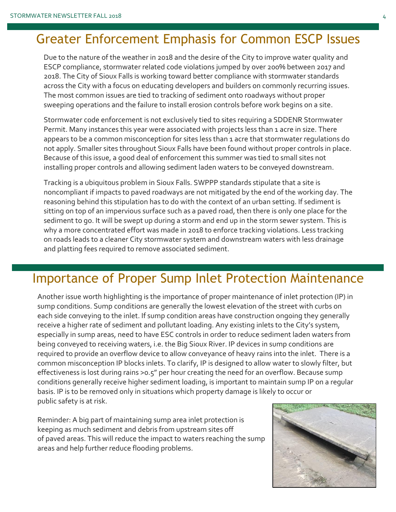## Greater Enforcement Emphasis for Common ESCP Issues

Due to the nature of the weather in 2018 and the desire of the City to improve water quality and ESCP compliance, stormwater related code violations jumped by over 200% between 2017 and 2018. The City of Sioux Falls is working toward better compliance with stormwater standards across the City with a focus on educating developers and builders on commonly recurring issues. The most common issues are tied to tracking of sediment onto roadways without proper sweeping operations and the failure to install erosion controls before work begins on a site.

Stormwater code enforcement is not exclusively tied to sites requiring a SDDENR Stormwater Permit. Many instances this year were associated with projects less than 1 acre in size. There appears to be a common misconception for sites less than 1 acre that stormwater regulations do not apply. Smaller sites throughout Sioux Falls have been found without proper controls in place. Because of this issue, a good deal of enforcement this summer was tied to small sites not installing proper controls and allowing sediment laden waters to be conveyed downstream.

Tracking is a ubiquitous problem in Sioux Falls. SWPPP standards stipulate that a site is noncompliant if impacts to paved roadways are not mitigated by the end of the working day. The reasoning behind this stipulation has to do with the context of an urban setting. If sediment is sitting on top of an impervious surface such as a paved road, then there is only one place for the sediment to go. It will be swept up during a storm and end up in the storm sewer system. This is why a more concentrated effort was made in 2018 to enforce tracking violations. Less tracking on roads leads to a cleaner City stormwater system and downstream waters with less drainage and platting fees required to remove associated sediment.

#### Importance of Proper Sump Inlet Protection Maintenance

Another issue worth highlighting is the importance of proper maintenance of inlet protection (IP) in sump conditions. Sump conditions are generally the lowest elevation of the street with curbs on each side conveying to the inlet. If sump condition areas have construction ongoing they generally receive a higher rate of sediment and pollutant loading. Any existing inlets to the City's system, especially in sump areas, need to have ESC controls in order to reduce sediment laden waters from being conveyed to receiving waters, i.e. the Big Sioux River. IP devices in sump conditions are required to provide an overflow device to allow conveyance of heavy rains into the inlet. There is a common misconception IP blocks inlets. To clarify, IP is designed to allow water to slowly filter, but effectiveness is lost during rains >0.5" per hour creating the need for an overflow. Because sump conditions generally receive higher sediment loading, is important to maintain sump IP on a regular basis. IP is to be removed only in situations which property damage is likely to occur or public safety is at risk.

Reminder: A big part of maintaining sump area inlet protection is keeping as much sediment and debris from upstream sites off of paved areas. This will reduce the impact to waters reaching the sump areas and help further reduce flooding problems.